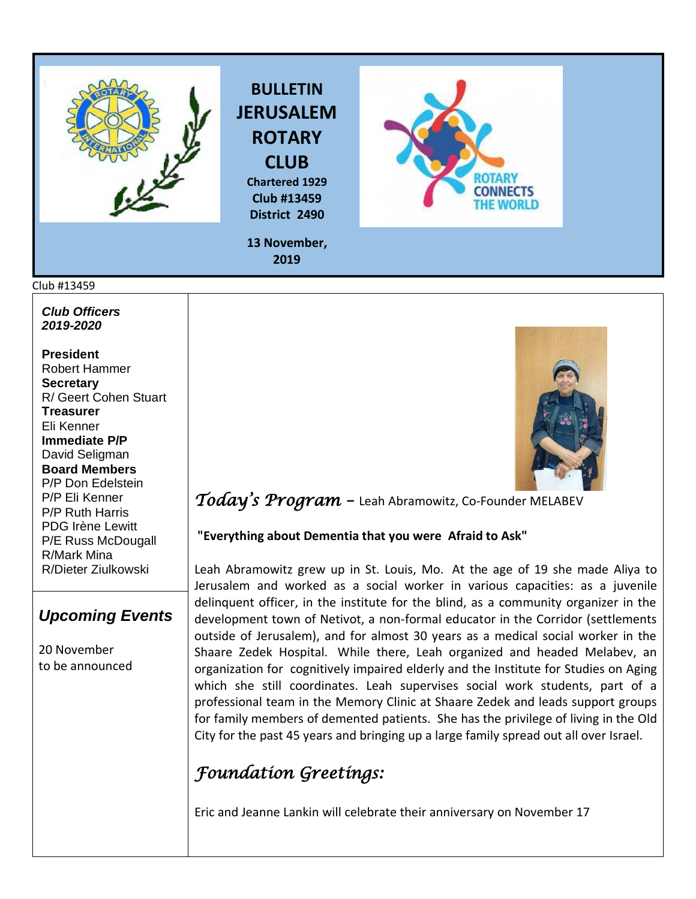

#### Club #13459

*Club Officers 2019-2020*

**President**  Robert Hammer **Secretary**  R/ Geert Cohen Stuart **Treasurer**  Eli Kenner **Immediate P/P** David Seligman **Board Members**  P/P Don Edelstein P/P Eli Kenner P/P Ruth Harris PDG Irène Lewitt P/E Russ McDougall R/Mark Mina R/Dieter Ziulkowski

### *Upcoming Events*

20 November to be announced



### *Today's Program –* Leah Abramowitz, Co-Founder MELABEV

#### **"Everything about Dementia that you were Afraid to Ask"**

Leah Abramowitz grew up in St. Louis, Mo. At the age of 19 she made Aliya to Jerusalem and worked as a social worker in various capacities: as a juvenile delinquent officer, in the institute for the blind, as a community organizer in the development town of Netivot, a non-formal educator in the Corridor (settlements outside of Jerusalem), and for almost 30 years as a medical social worker in the Shaare Zedek Hospital. While there, Leah organized and headed Melabev, an organization for cognitively impaired elderly and the Institute for Studies on Aging which she still coordinates. Leah supervises social work students, part of a professional team in the Memory Clinic at Shaare Zedek and leads support groups for family members of demented patients. She has the privilege of living in the Old City for the past 45 years and bringing up a large family spread out all over Israel.

## *Foundation Greetings:*

Eric and Jeanne Lankin will celebrate their anniversary on November 17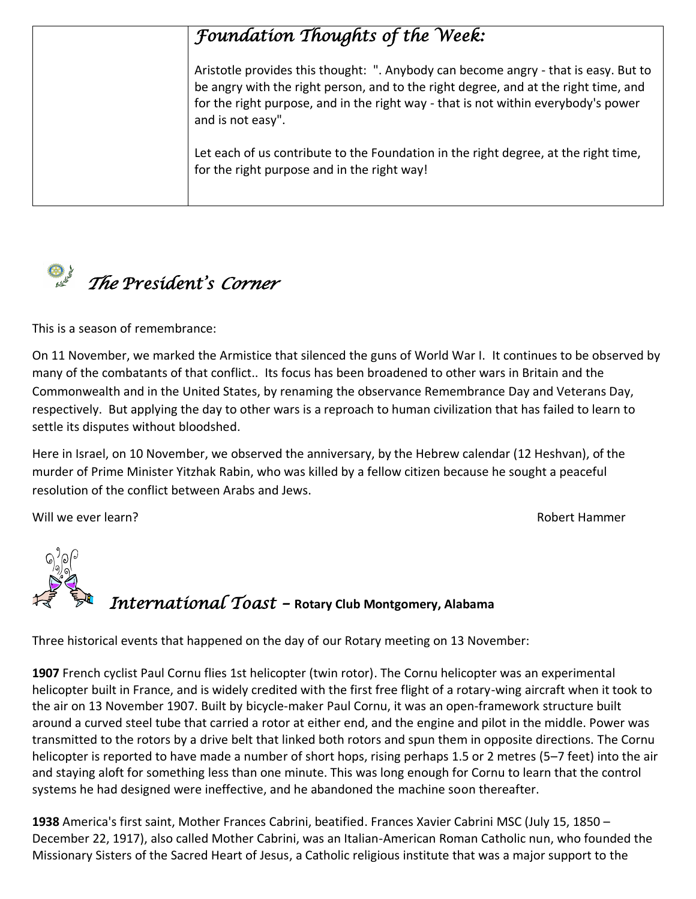# *Foundation Thoughts of the Week:*

Aristotle provides this thought: ". Anybody can become angry - that is easy. But to be angry with the right person, and to the right degree, and at the right time, and for the right purpose, and in the right way - that is not within everybody's power and is not easy".

Let each of us contribute to the Foundation in the right degree, at the right time, for the right purpose and in the right way!



This is a season of remembrance:

On 11 November, we marked the Armistice that silenced the guns of World War I. It continues to be observed by many of the combatants of that conflict.. Its focus has been broadened to other wars in Britain and the Commonwealth and in the United States, by renaming the observance Remembrance Day and Veterans Day, respectively. But applying the day to other wars is a reproach to human civilization that has failed to learn to settle its disputes without bloodshed.

Here in Israel, on 10 November, we observed the anniversary, by the Hebrew calendar (12 Heshvan), of the murder of Prime Minister Yitzhak Rabin, who was killed by a fellow citizen because he sought a peaceful resolution of the conflict between Arabs and Jews.

Will we ever learn? The control of the control of the control of the control of the control of the control of the control of the control of the control of the control of the control of the control of the control of the con



Three historical events that happened on the day of our Rotary meeting on 13 November:

**[1907](https://www.onthisday.com/events/date/1907)** French cyclist Paul Cornu flies 1st helicopter (twin rotor). The Cornu helicopter was an experimental [helicopter](https://en.wikipedia.org/wiki/Helicopter) built in [France,](https://en.wikipedia.org/wiki/France) and is widely credited with the first free flight of a rotary-win[g aircraft](https://en.wikipedia.org/wiki/Aircraft) when it took to the air on 13 November 1907. Built by [bicycle-](https://en.wikipedia.org/wiki/Bicycle)maker [Paul Cornu,](https://en.wikipedia.org/wiki/Paul_Cornu) it was an open-framework structure built around a curved [steel](https://en.wikipedia.org/wiki/Steel) tube that carried a [rotor](https://en.wikipedia.org/wiki/Helicopter_rotor) at either end, and the [engine](https://en.wikipedia.org/wiki/Engine) and [pilot](https://en.wikipedia.org/wiki/Aircraft_pilot) in the middle. Power was transmitted to the rotors by a [drive belt](https://en.wikipedia.org/wiki/Drive_belt) that linked both rotors and spun them in opposite directions. The Cornu helicopter is reported to have made a number of short hops, rising perhaps 1.5 or 2 metres (5–7 feet) into the air and staying aloft for something less than one minute. This was long enough for Cornu to learn that the control systems he had designed were ineffective, and he abandoned the machine soon thereafter.

**[1938](https://www.onthisday.com/events/date/1938)** America's first saint, Mother Frances Cabrini, beatified. Frances Xavier Cabrin[i MSC](https://en.wikipedia.org/wiki/Missionary_Sisters_of_the_Sacred_Heart_of_Jesus) (July 15, 1850 – December 22, 1917), also called Mother Cabrini, was an Italian-American [Roman Catholic nun,](https://en.wikipedia.org/wiki/Nun#Roman_Catholic) who founded the [Missionary Sisters of the Sacred Heart of Jesus,](https://en.wikipedia.org/wiki/Missionary_Sisters_of_the_Sacred_Heart_of_Jesus) a Catholic [religious institute](https://en.wikipedia.org/wiki/Religious_institute) that was a major support to the